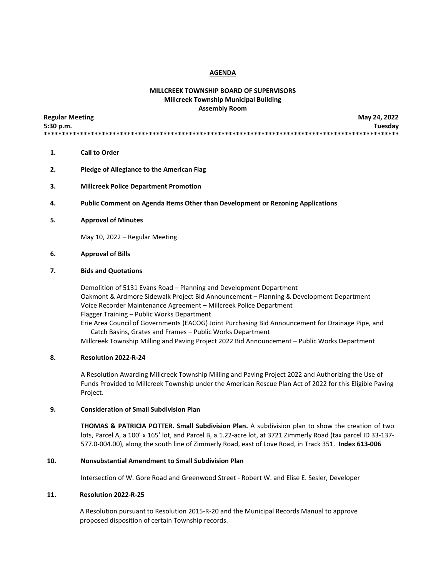#### **AGENDA**

# **MILLCREEK TOWNSHIP BOARD OF SUPERVISORS Millcreek Township Municipal Building Assembly Room**

| <b>Regular Meeting</b> | May 24, 2022 |
|------------------------|--------------|
| 5:30 p.m.              | Tuesday      |
|                        |              |

- **1. Call to Order**
- **2. Pledge of Allegiance to the American Flag**
- **3. Millcreek Police Department Promotion**
- **4. Public Comment on Agenda Items Other than Development or Rezoning Applications**
- **5. Approval of Minutes**

May 10, 2022 – Regular Meeting

### **6. Approval of Bills**

#### **7. Bids and Quotations**

Demolition of 5131 Evans Road – Planning and Development Department Oakmont & Ardmore Sidewalk Project Bid Announcement – Planning & Development Department Voice Recorder Maintenance Agreement – Millcreek Police Department Flagger Training – Public Works Department Erie Area Council of Governments (EACOG) Joint Purchasing Bid Announcement for Drainage Pipe, and

 Catch Basins, Grates and Frames – Public Works Department Millcreek Township Milling and Paving Project 2022 Bid Announcement – Public Works Department

### **8. Resolution 2022-R-24**

A Resolution Awarding Millcreek Township Milling and Paving Project 2022 and Authorizing the Use of Funds Provided to Millcreek Township under the American Rescue Plan Act of 2022 for this Eligible Paving Project.

#### **9. Consideration of Small Subdivision Plan**

**THOMAS & PATRICIA POTTER. Small Subdivision Plan.** A subdivision plan to show the creation of two lots, Parcel A, a 100' x 165' lot, and Parcel B, a 1.22-acre lot, at 3721 Zimmerly Road (tax parcel ID 33-137- 577.0-004.00), along the south line of Zimmerly Road, east of Love Road, in Track 351. **Index 613-006**

### **10. Nonsubstantial Amendment to Small Subdivision Plan**

Intersection of W. Gore Road and Greenwood Street - Robert W. and Elise E. Sesler, Developer

### **11. Resolution 2022-R-25**

 A Resolution pursuant to Resolution 2015-R-20 and the Municipal Records Manual to approve proposed disposition of certain Township records.